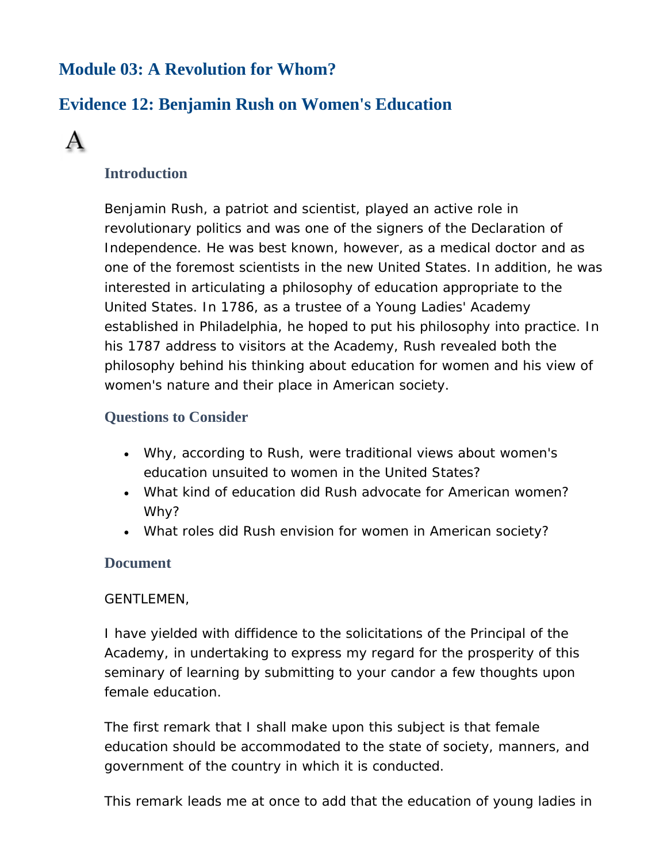# **Module 03: A Revolution for Whom?**

# **Evidence 12: Benjamin Rush on Women's Education**



## **Introduction**

Benjamin Rush, a patriot and scientist, played an active role in revolutionary politics and was one of the signers of the Declaration of Independence. He was best known, however, as a medical doctor and as one of the foremost scientists in the new United States. In addition, he was interested in articulating a philosophy of education appropriate to the United States. In 1786, as a trustee of a Young Ladies' Academy established in Philadelphia, he hoped to put his philosophy into practice. In his 1787 address to visitors at the Academy, Rush revealed both the philosophy behind his thinking about education for women and his view of women's nature and their place in American society.

### **Questions to Consider**

- Why, according to Rush, were traditional views about women's education unsuited to women in the United States?
- What kind of education did Rush advocate for American women? Why?
- What roles did Rush envision for women in American society?

### **Document**

### GENTLEMEN,

I have yielded with diffidence to the solicitations of the Principal of the Academy, in undertaking to express my regard for the prosperity of this seminary of learning by submitting to your candor a few thoughts upon female education.

The first remark that I shall make upon this subject is that female education should be accommodated to the state of society, manners, and government of the country in which it is conducted.

This remark leads me at once to add that the education of young ladies in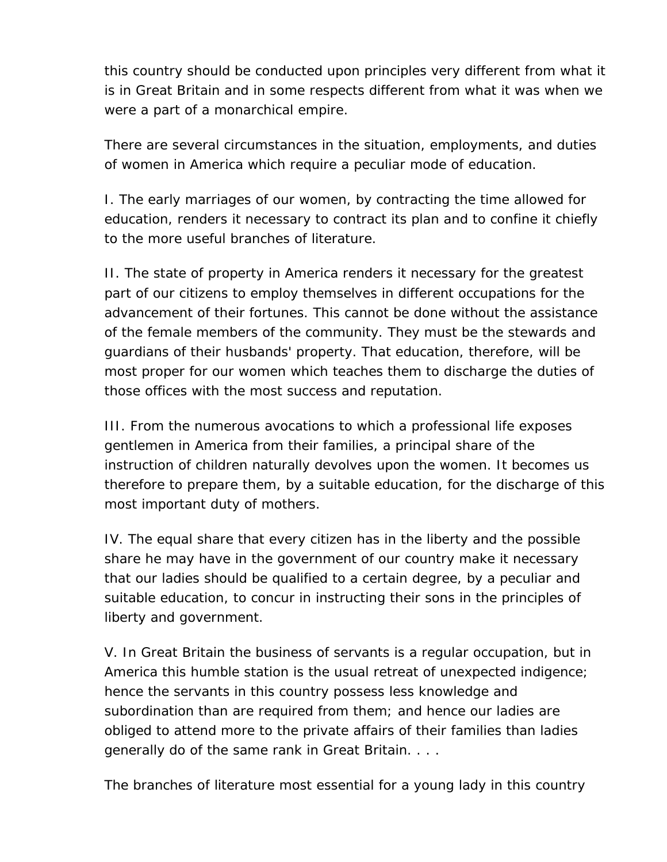this country should be conducted upon principles very different from what it is in Great Britain and in some respects different from what it was when we were a part of a monarchical empire.

There are several circumstances in the situation, employments, and duties of women in America which require a peculiar mode of education.

I. The early marriages of our women, by contracting the time allowed for education, renders it necessary to contract its plan and to confine it chiefly to the more useful branches of literature.

II. The state of property in America renders it necessary for the greatest part of our citizens to employ themselves in different occupations for the advancement of their fortunes. This cannot be done without the assistance of the female members of the community. They must be the stewards and guardians of their husbands' property. That education, therefore, will be most proper for our women which teaches them to discharge the duties of those offices with the most success and reputation.

III. From the numerous avocations to which a professional life exposes gentlemen in America from their families, a principal share of the instruction of children naturally devolves upon the women. It becomes us therefore to prepare them, by a suitable education, for the discharge of this most important duty of mothers.

IV. The equal share that every citizen has in the liberty and the possible share he may have in the government of our country make it necessary that our ladies should be qualified to a certain degree, by a peculiar and suitable education, to concur in instructing their sons in the principles of liberty and government.

V. In Great Britain the business of servants is a regular occupation, but in America this humble station is the usual retreat of unexpected indigence; hence the servants in this country possess less knowledge and subordination than are required from them; and hence our ladies are obliged to attend more to the private affairs of their families than ladies generally do of the same rank in Great Britain. . . .

The branches of literature most essential for a young lady in this country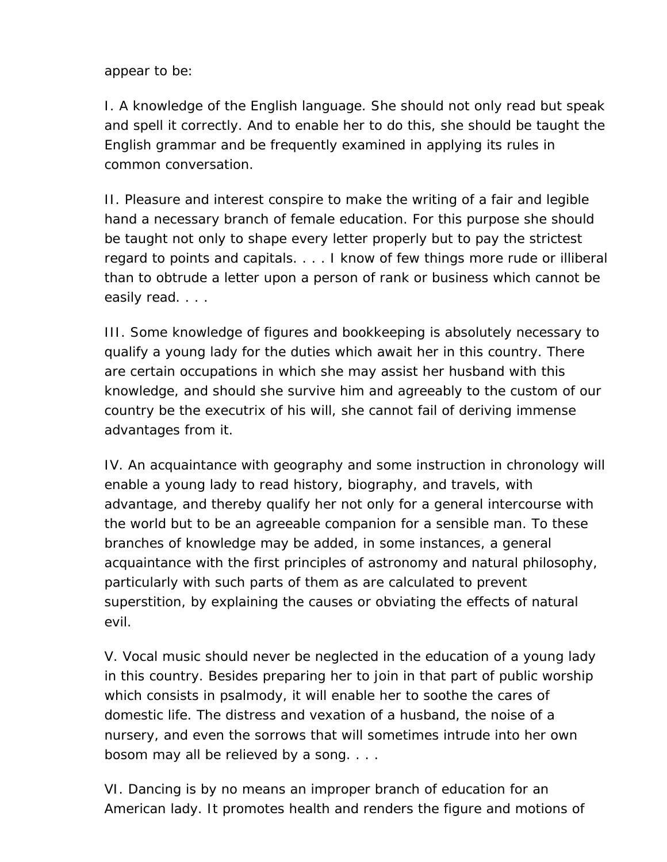appear to be:

I. A knowledge of the English language. She should not only read but speak and spell it correctly. And to enable her to do this, she should be taught the English grammar and be frequently examined in applying its rules in common conversation.

II. Pleasure and interest conspire to make the writing of a fair and legible hand a necessary branch of female education. For this purpose she should be taught not only to shape every letter properly but to pay the strictest regard to points and capitals. . . . I know of few things more rude or illiberal than to obtrude a letter upon a person of rank or business which cannot b e easily read. . . .

III. Some knowledge of figures and bookkeeping is absolutely necessary to qualify a young lady for the duties which await her in this country. There are certain occupations in which she may assist her husband with this knowledge, and should she survive him and agreeably to the custom of our country be the executrix of his will, she cannot fail of deriving immense advantages from it.

IV. An acquaintance with geography and some instruction in chronology will enable a young lady to read history, biography, and travels, with advantage, and thereby qualify her not only for a general intercourse with the world but to be an agreeable companion for a sensible man. To these branches of knowledge may be added, in some instances, a general acquaintance with the first principles of astronomy and natural philosophy, particularly with such parts of them as are calculated to prevent superstition, by explaining the causes or obviating the effects of natural evil.

V. Vocal music should never be neglected in the education of a young lady in this country. Besides preparing her to join in that part of public worship which consists in psalmody, it will enable her to soothe the cares of domestic life. The distress and vexation of a husband, the noise of a nursery, and even the sorrows that will sometimes intrude into her own bosom may all be relieved by a song. . . .

VI. Dancing is by no means an improper branch of education for an American lady. It promotes health and renders the figure and motions of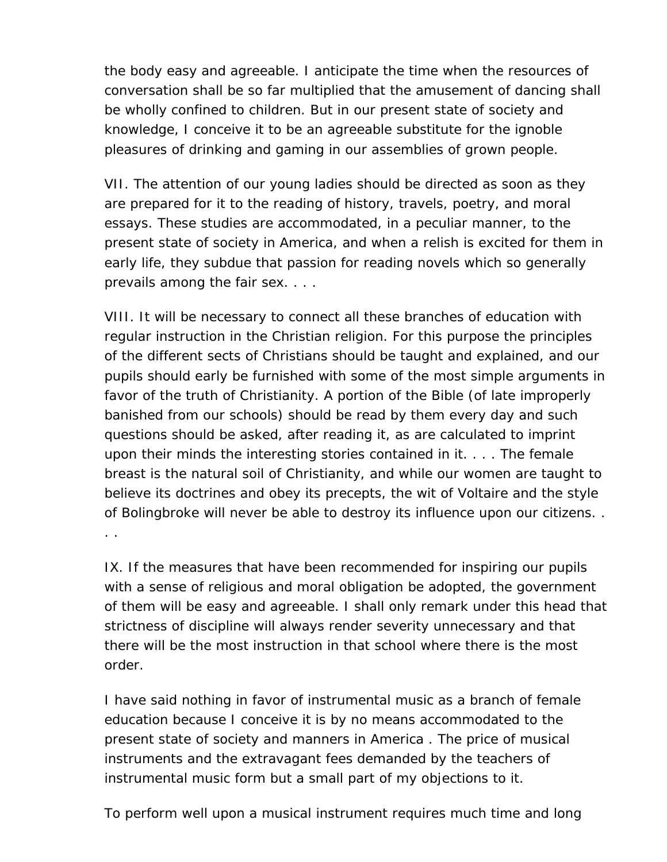the body easy and agreeable. I anticipate the time when the resources of conversation shall be so far multiplied that the amusement of dancing shall be wholly confined to children. But in our present state of society and knowledge, I conceive it to be an agreeable substitute for the ignoble pleasures of drinking and gaming in our assemblies of grown people.

VII. The attention of our young ladies should be directed as soon as they are prepared for it to the reading of history, travels, poetry, and moral essays. These studies are accommodated, in a peculiar manner, to the present state of society in America, and when a relish is excited for them in early life, they subdue that passion for reading novels which so generally prevails among the fair sex. . . .

VIII. It will be necessary to connect all these branches of education with regular instruction in the Christian religion. For this purpose the principles of the different sects of Christians should be taught and explained, and our pupils should early be furnished with some of the most simple arguments in favor of the truth of Christianity. A portion of the Bible (of late improperly banished from our schools) should be read by them every day and such questions should be asked, after reading it, as are calculated to imprint upon their minds the interesting stories contained in it. . . . The female breast is the natural soil of Christianity, and while our women are taught to believe its doctrines and obey its precepts, the wit of Voltaire and the style of Bolingbroke will never be able to destroy its influence upon our citizens. . . .

IX. If the measures that have been recommended for inspiring our pupils with a sense of religious and moral obligation be adopted, the government of them will be easy and agreeable. I shall only remark under this head that strictness of discipline will always render severity unnecessary and that there will be the most instruction in that school where there is the most order.

I have said nothing in favor of instrumental music as a branch of female education because I conceive it is by no means accommodated to the present state of society and manners in America . The price of musical instruments and the extravagant fees demanded by the teachers of instrumental music form but a small part of my objections to it.

To perform well upon a musical instrument requires much time and long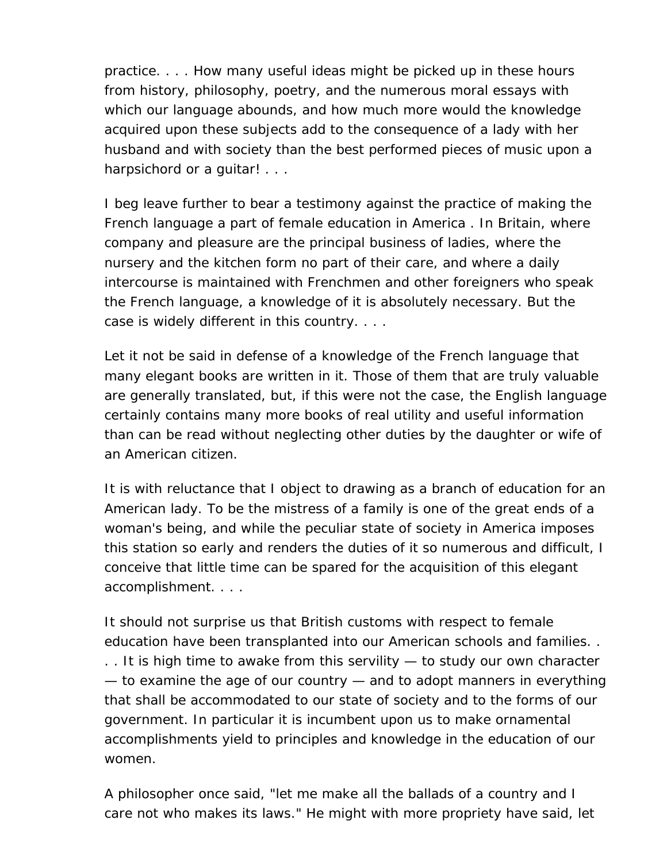practice. . . . How many useful ideas might be picked up in these hours from history, philosophy, poetry, and the numerous moral essays with which our language abounds, and how much more would the knowledge acquired upon these subjects add to the consequence of a lady with her husband and with society than the best performed pieces of music upon a harpsichord or a guitar! . . .

I beg leave further to bear a testimony against the practice of making the French language a part of female education in America . In Britain, where company and pleasure are the principal business of ladies, where the nursery and the kitchen form no part of their care, and where a daily intercourse is maintained with Frenchmen and other foreigners who speak the French language, a knowledge of it is absolutely necessary. But the case is widely different in this country. . . .

Let it not be said in defense of a knowledge of the French language that many elegant books are written in it. Those of them that are truly valuable are generally translated, but, if this were not the case, the English language certainly contains many more books of real utility and useful information than can be read without neglecting other duties by the daughter or wife of an American citizen.

It is with reluctance that I object to drawing as a branch of education for an American lady. To be the mistress of a family is one of the great ends of a woman's being, and while the peculiar state of society in America imposes this station so early and renders the duties of it so numerous and difficult, I conceive that little time can be spared for the acquisition of this elegant accomplishment. . . .

It should not surprise us that British customs with respect to female education have been transplanted into our American schools and families. . . . It is high time to awake from this servility — to study our own character — to examine the age of our country — and to adopt manners in everything that shall be accommodated to our state of society and to the forms of our government. In particular it is incumbent upon us to make ornamental accomplishments yield to principles and knowledge in the education of our women.

A philosopher once said, "let me make all the ballads of a country and I care not who makes its laws." He might with more propriety have said, let